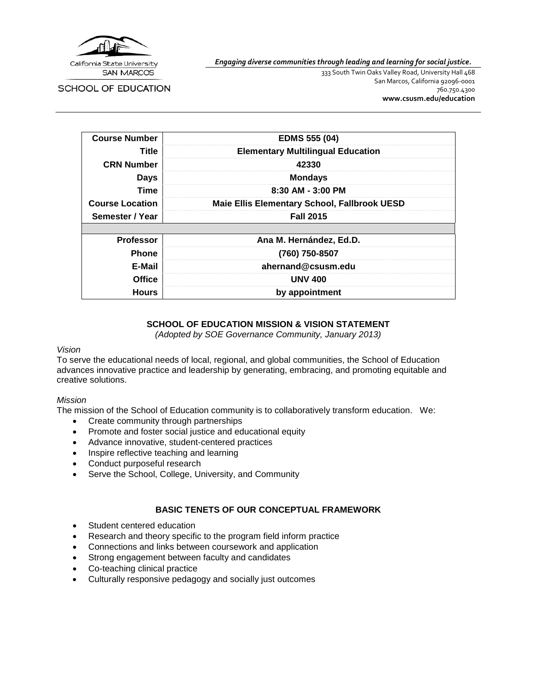

*Engaging diverse communities through leading and learning for social justice.*

SCHOOL OF EDUCATION

333 South Twin Oaks Valley Road, University Hall 468 San Marcos, California 92096-0001 760.750.4300 **[www.csusm.edu/education](http://www.csusm.edu/education)**

| <b>Course Number</b>   | <b>EDMS 555 (04)</b>                                |
|------------------------|-----------------------------------------------------|
| Title                  | <b>Elementary Multilingual Education</b>            |
| <b>CRN Number</b>      | 42330                                               |
| <b>Days</b>            | <b>Mondays</b>                                      |
| <b>Time</b>            | 8:30 AM - 3:00 PM                                   |
| <b>Course Location</b> | <b>Maie Ellis Elementary School, Fallbrook UESD</b> |
| Semester / Year        | <b>Fall 2015</b>                                    |
|                        |                                                     |
| <b>Professor</b>       | Ana M. Hernández, Ed.D.                             |
| <b>Phone</b>           | (760) 750-8507                                      |
| E-Mail                 | ahernand@csusm.edu                                  |
| <b>Office</b>          | <b>UNV 400</b>                                      |
| <b>Hours</b>           | by appointment                                      |

### **SCHOOL OF EDUCATION MISSION & VISION STATEMENT**

*(Adopted by SOE Governance Community, January 2013)*

#### *Vision*

To serve the educational needs of local, regional, and global communities, the School of Education advances innovative practice and leadership by generating, embracing, and promoting equitable and creative solutions.

#### *Mission*

The mission of the School of Education community is to collaboratively transform education. We:

- Create community through partnerships
- Promote and foster social justice and educational equity
- Advance innovative, student-centered practices
- Inspire reflective teaching and learning
- Conduct purposeful research
- Serve the School, College, University, and Community

#### **BASIC TENETS OF OUR CONCEPTUAL FRAMEWORK**

- Student centered education
- Research and theory specific to the program field inform practice
- Connections and links between coursework and application
- Strong engagement between faculty and candidates
- Co-teaching clinical practice
- Culturally responsive pedagogy and socially just outcomes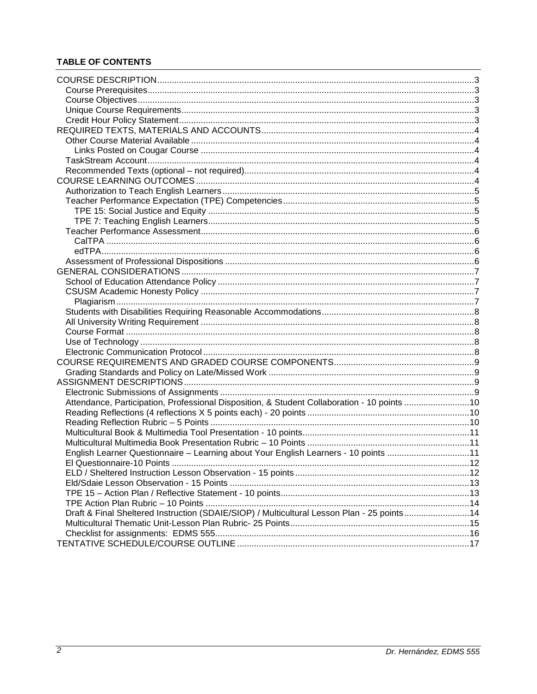## **TABLE OF CONTENTS**

| Attendance, Participation, Professional Disposition, & Student Collaboration - 10 points 10 |  |
|---------------------------------------------------------------------------------------------|--|
|                                                                                             |  |
|                                                                                             |  |
|                                                                                             |  |
|                                                                                             |  |
| English Learner Questionnaire - Learning about Your English Learners - 10 points 11         |  |
| $\sim$ 12<br><b>FLOuestionnaire-10 Points</b>                                               |  |
|                                                                                             |  |
|                                                                                             |  |
|                                                                                             |  |
|                                                                                             |  |
|                                                                                             |  |
| Draft & Final Sheltered Instruction (SDAIE/SIOP) / Multicultural Lesson Plan - 25 points14  |  |
|                                                                                             |  |
|                                                                                             |  |
|                                                                                             |  |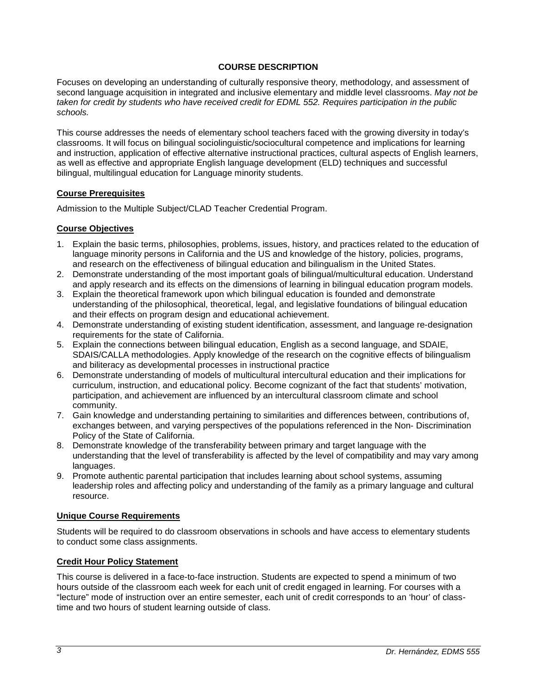### **COURSE DESCRIPTION**

<span id="page-2-0"></span>Focuses on developing an understanding of culturally responsive theory, methodology, and assessment of second language acquisition in integrated and inclusive elementary and middle level classrooms. *May not be taken for credit by students who have received credit for EDML 552. Requires participation in the public schools.*

This course addresses the needs of elementary school teachers faced with the growing diversity in today's classrooms. It will focus on bilingual sociolinguistic/sociocultural competence and implications for learning and instruction, application of effective alternative instructional practices, cultural aspects of English learners, as well as effective and appropriate English language development (ELD) techniques and successful bilingual, multilingual education for Language minority students.

### <span id="page-2-1"></span>**Course Prerequisites**

Admission to the Multiple Subject/CLAD Teacher Credential Program.

### <span id="page-2-2"></span>**Course Objectives**

- 1. Explain the basic terms, philosophies, problems, issues, history, and practices related to the education of language minority persons in California and the US and knowledge of the history, policies, programs, and research on the effectiveness of bilingual education and bilingualism in the United States.
- 2. Demonstrate understanding of the most important goals of bilingual/multicultural education. Understand and apply research and its effects on the dimensions of learning in bilingual education program models.
- 3. Explain the theoretical framework upon which bilingual education is founded and demonstrate understanding of the philosophical, theoretical, legal, and legislative foundations of bilingual education and their effects on program design and educational achievement.
- 4. Demonstrate understanding of existing student identification, assessment, and language re-designation requirements for the state of California.
- 5. Explain the connections between bilingual education, English as a second language, and SDAIE, SDAIS/CALLA methodologies. Apply knowledge of the research on the cognitive effects of bilingualism and biliteracy as developmental processes in instructional practice
- 6. Demonstrate understanding of models of multicultural intercultural education and their implications for curriculum, instruction, and educational policy. Become cognizant of the fact that students' motivation, participation, and achievement are influenced by an intercultural classroom climate and school community.
- 7. Gain knowledge and understanding pertaining to similarities and differences between, contributions of, exchanges between, and varying perspectives of the populations referenced in the Non- Discrimination Policy of the State of California.
- 8. Demonstrate knowledge of the transferability between primary and target language with the understanding that the level of transferability is affected by the level of compatibility and may vary among languages.
- 9. Promote authentic parental participation that includes learning about school systems, assuming leadership roles and affecting policy and understanding of the family as a primary language and cultural resource.

### <span id="page-2-3"></span>**Unique Course Requirements**

Students will be required to do classroom observations in schools and have access to elementary students to conduct some class assignments.

### <span id="page-2-4"></span>**Credit Hour Policy Statement**

This course is delivered in a face-to-face instruction. Students are expected to spend a minimum of two hours outside of the classroom each week for each unit of credit engaged in learning. For courses with a "lecture" mode of instruction over an entire semester, each unit of credit corresponds to an 'hour' of classtime and two hours of student learning outside of class.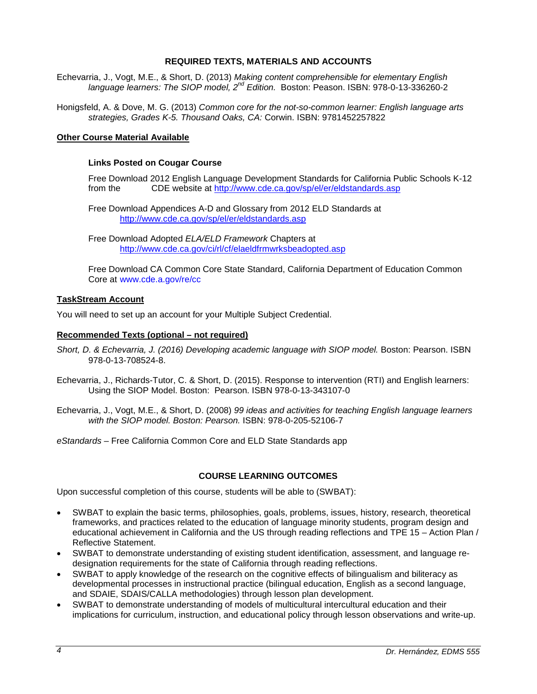### **REQUIRED TEXTS, MATERIALS AND ACCOUNTS**

<span id="page-3-0"></span>Echevarria, J., Vogt, M.E., & Short, D. (2013) *Making content comprehensible for elementary English language learners: The SIOP model, 2nd Edition.* Boston: Peason. ISBN: 978-0-13-336260-2

Honigsfeld, A. & Dove, M. G. (2013) *Common core for the not-so-common learner: English language arts strategies, Grades K-5. Thousand Oaks, CA:* Corwin. ISBN: 9781452257822

#### <span id="page-3-2"></span><span id="page-3-1"></span>**Other Course Material Available**

#### **Links Posted on Cougar Course**

Free Download 2012 English Language Development Standards for California Public Schools K-12<br>from the CDF website at http://www.cde.ca.gov/sp/el/er/eldstandards.asp CDE website at<http://www.cde.ca.gov/sp/el/er/eldstandards.asp>

Free Download Appendices A-D and Glossary from 2012 ELD Standards at <http://www.cde.ca.gov/sp/el/er/eldstandards.asp>

Free Download Adopted *ELA/ELD Framework* Chapters at <http://www.cde.ca.gov/ci/rl/cf/elaeldfrmwrksbeadopted.asp>

Free Download CA Common Core State Standard, California Department of Education Common Core at www.cde.a.gov/re/cc

#### <span id="page-3-3"></span>**TaskStream Account**

You will need to set up an account for your Multiple Subject Credential.

#### <span id="page-3-4"></span>**Recommended Texts (optional – not required)**

- Short, D. & Echevarria, J. (2016) Developing academic language with SIOP model. Boston: Pearson. ISBN 978-0-13-708524-8.
- Echevarria, J., Richards-Tutor, C. & Short, D. (2015). Response to intervention (RTI) and English learners: Using the SIOP Model. Boston: Pearson. ISBN 978-0-13-343107-0
- Echevarria, J., Vogt, M.E., & Short, D. (2008) *99 ideas and activities for teaching English language learners with the SIOP model. Boston: Pearson.* ISBN: 978-0-205-52106-7
- *eStandards*  Free California Common Core and ELD State Standards app

#### **COURSE LEARNING OUTCOMES**

<span id="page-3-5"></span>Upon successful completion of this course, students will be able to (SWBAT):

- SWBAT to explain the basic terms, philosophies, goals, problems, issues, history, research, theoretical frameworks, and practices related to the education of language minority students, program design and educational achievement in California and the US through reading reflections and TPE 15 – Action Plan / Reflective Statement.
- SWBAT to demonstrate understanding of existing student identification, assessment, and language redesignation requirements for the state of California through reading reflections.
- SWBAT to apply knowledge of the research on the cognitive effects of bilingualism and biliteracy as developmental processes in instructional practice (bilingual education, English as a second language, and SDAIE, SDAIS/CALLA methodologies) through lesson plan development.
- SWBAT to demonstrate understanding of models of multicultural intercultural education and their implications for curriculum, instruction, and educational policy through lesson observations and write-up.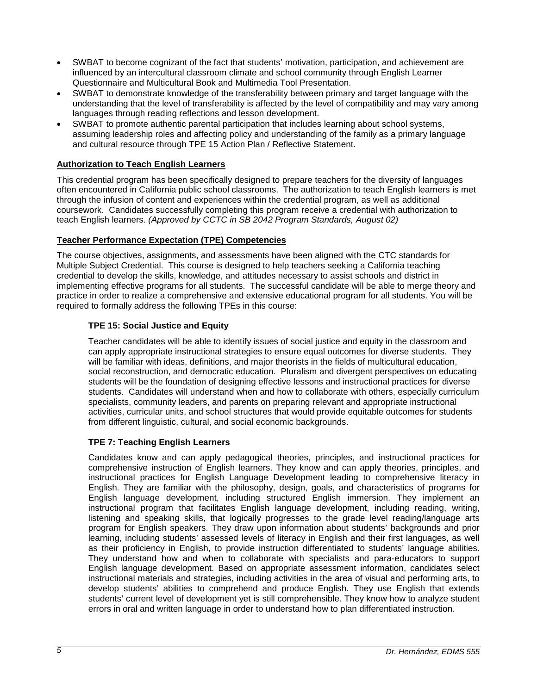- SWBAT to become cognizant of the fact that students' motivation, participation, and achievement are influenced by an intercultural classroom climate and school community through English Learner Questionnaire and Multicultural Book and Multimedia Tool Presentation.
- SWBAT to demonstrate knowledge of the transferability between primary and target language with the understanding that the level of transferability is affected by the level of compatibility and may vary among languages through reading reflections and lesson development.
- SWBAT to promote authentic parental participation that includes learning about school systems, assuming leadership roles and affecting policy and understanding of the family as a primary language and cultural resource through TPE 15 Action Plan / Reflective Statement.

## <span id="page-4-0"></span>**Authorization to Teach English Learners**

This credential program has been specifically designed to prepare teachers for the diversity of languages often encountered in California public school classrooms. The authorization to teach English learners is met through the infusion of content and experiences within the credential program, as well as additional coursework. Candidates successfully completing this program receive a credential with authorization to teach English learners. *(Approved by CCTC in SB 2042 Program Standards, August 02)*

### <span id="page-4-1"></span>**Teacher Performance Expectation (TPE) Competencies**

The course objectives, assignments, and assessments have been aligned with the CTC standards for Multiple Subject Credential. This course is designed to help teachers seeking a California teaching credential to develop the skills, knowledge, and attitudes necessary to assist schools and district in implementing effective programs for all students. The successful candidate will be able to merge theory and practice in order to realize a comprehensive and extensive educational program for all students. You will be required to formally address the following TPEs in this course:

## <span id="page-4-2"></span>**TPE 15: Social Justice and Equity**

Teacher candidates will be able to identify issues of social justice and equity in the classroom and can apply appropriate instructional strategies to ensure equal outcomes for diverse students. They will be familiar with ideas, definitions, and major theorists in the fields of multicultural education, social reconstruction, and democratic education. Pluralism and divergent perspectives on educating students will be the foundation of designing effective lessons and instructional practices for diverse students. Candidates will understand when and how to collaborate with others, especially curriculum specialists, community leaders, and parents on preparing relevant and appropriate instructional activities, curricular units, and school structures that would provide equitable outcomes for students from different linguistic, cultural, and social economic backgrounds.

### <span id="page-4-3"></span>**TPE 7: Teaching English Learners**

Candidates know and can apply pedagogical theories, principles, and instructional practices for comprehensive instruction of English learners. They know and can apply theories, principles, and instructional practices for English Language Development leading to comprehensive literacy in English. They are familiar with the philosophy, design, goals, and characteristics of programs for English language development, including structured English immersion. They implement an instructional program that facilitates English language development, including reading, writing, listening and speaking skills, that logically progresses to the grade level reading/language arts program for English speakers. They draw upon information about students' backgrounds and prior learning, including students' assessed levels of literacy in English and their first languages, as well as their proficiency in English, to provide instruction differentiated to students' language abilities. They understand how and when to collaborate with specialists and para-educators to support English language development. Based on appropriate assessment information, candidates select instructional materials and strategies, including activities in the area of visual and performing arts, to develop students' abilities to comprehend and produce English. They use English that extends students' current level of development yet is still comprehensible. They know how to analyze student errors in oral and written language in order to understand how to plan differentiated instruction.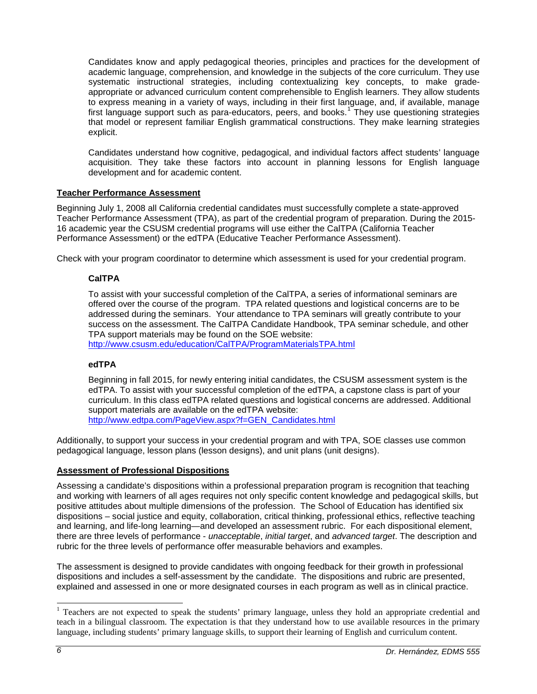Candidates know and apply pedagogical theories, principles and practices for the development of academic language, comprehension, and knowledge in the subjects of the core curriculum. They use systematic instructional strategies, including contextualizing key concepts, to make gradeappropriate or advanced curriculum content comprehensible to English learners. They allow students to express meaning in a variety of ways, including in their first language, and, if available, manage first language support such as para-educators, peers, and books.<sup>[1](#page-5-4)</sup> They use questioning strategies that model or represent familiar English grammatical constructions. They make learning strategies explicit.

Candidates understand how cognitive, pedagogical, and individual factors affect students' language acquisition. They take these factors into account in planning lessons for English language development and for academic content.

### <span id="page-5-0"></span>**Teacher Performance Assessment**

Beginning July 1, 2008 all California credential candidates must successfully complete a state-approved Teacher Performance Assessment (TPA), as part of the credential program of preparation. During the 2015- 16 academic year the CSUSM credential programs will use either the CalTPA (California Teacher Performance Assessment) or the edTPA (Educative Teacher Performance Assessment).

<span id="page-5-1"></span>Check with your program coordinator to determine which assessment is used for your credential program.

#### **CalTPA**

To assist with your successful completion of the CalTPA, a series of informational seminars are offered over the course of the program. TPA related questions and logistical concerns are to be addressed during the seminars. Your attendance to TPA seminars will greatly contribute to your success on the assessment. The CalTPA Candidate Handbook, TPA seminar schedule, and other TPA support materials may be found on the SOE website:

<http://www.csusm.edu/education/CalTPA/ProgramMaterialsTPA.html>

#### <span id="page-5-2"></span>**edTPA**

Beginning in fall 2015, for newly entering initial candidates, the CSUSM assessment system is the edTPA. To assist with your successful completion of the edTPA, a capstone class is part of your curriculum. In this class edTPA related questions and logistical concerns are addressed. Additional support materials are available on the edTPA website: [http://www.edtpa.com/PageView.aspx?f=GEN\\_Candidates.html](http://www.edtpa.com/PageView.aspx?f=GEN_Candidates.html)

Additionally, to support your success in your credential program and with TPA, SOE classes use common pedagogical language, lesson plans (lesson designs), and unit plans (unit designs).

#### <span id="page-5-3"></span>**Assessment of Professional Dispositions**

Assessing a candidate's dispositions within a professional preparation program is recognition that teaching and working with learners of all ages requires not only specific content knowledge and pedagogical skills, but positive attitudes about multiple dimensions of the profession. The School of Education has identified six dispositions – social justice and equity, collaboration, critical thinking, professional ethics, reflective teaching and learning, and life-long learning—and developed an assessment rubric. For each dispositional element, there are three levels of performance - *unacceptable*, *initial target*, and *advanced target*. The description and rubric for the three levels of performance offer measurable behaviors and examples.

The assessment is designed to provide candidates with ongoing feedback for their growth in professional dispositions and includes a self-assessment by the candidate. The dispositions and rubric are presented, explained and assessed in one or more designated courses in each program as well as in clinical practice.

<span id="page-5-4"></span><sup>&</sup>lt;sup>1</sup> Teachers are not expected to speak the students' primary language, unless they hold an appropriate credential and teach in a bilingual classroom. The expectation is that they understand how to use available resources in the primary language, including students' primary language skills, to support their learning of English and curriculum content.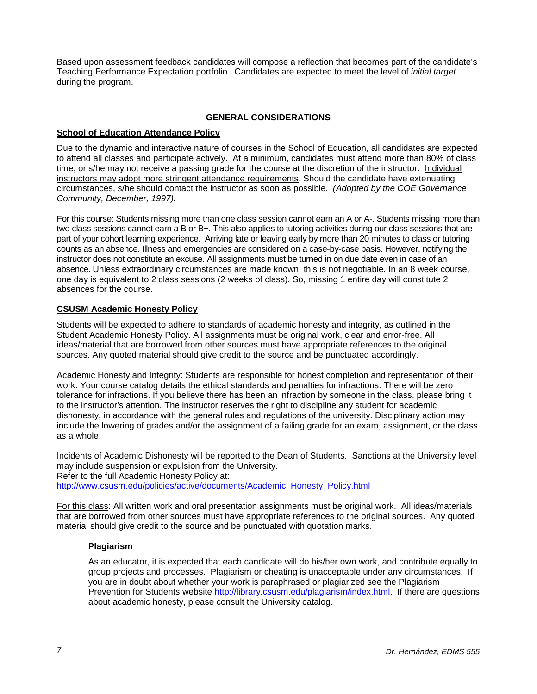Based upon assessment feedback candidates will compose a reflection that becomes part of the candidate's Teaching Performance Expectation portfolio. Candidates are expected to meet the level of *initial target* during the program.

### **GENERAL CONSIDERATIONS**

## <span id="page-6-1"></span><span id="page-6-0"></span>**School of Education Attendance Policy**

Due to the dynamic and interactive nature of courses in the School of Education, all candidates are expected to attend all classes and participate actively. At a minimum, candidates must attend more than 80% of class time, or s/he may not receive a passing grade for the course at the discretion of the instructor. Individual instructors may adopt more stringent attendance requirements. Should the candidate have extenuating circumstances, s/he should contact the instructor as soon as possible. *(Adopted by the COE Governance Community, December, 1997).*

For this course: Students missing more than one class session cannot earn an A or A-. Students missing more than two class sessions cannot earn a B or B+. This also applies to tutoring activities during our class sessions that are part of your cohort learning experience. Arriving late or leaving early by more than 20 minutes to class or tutoring counts as an absence. Illness and emergencies are considered on a case-by-case basis. However, notifying the instructor does not constitute an excuse. All assignments must be turned in on due date even in case of an absence. Unless extraordinary circumstances are made known, this is not negotiable. In an 8 week course, one day is equivalent to 2 class sessions (2 weeks of class). So, missing 1 entire day will constitute 2 absences for the course.

### <span id="page-6-2"></span>**CSUSM Academic Honesty Policy**

Students will be expected to adhere to standards of academic honesty and integrity, as outlined in the Student Academic Honesty Policy. All assignments must be original work, clear and error-free. All ideas/material that are borrowed from other sources must have appropriate references to the original sources. Any quoted material should give credit to the source and be punctuated accordingly.

Academic Honesty and Integrity: Students are responsible for honest completion and representation of their work. Your course catalog details the ethical standards and penalties for infractions. There will be zero tolerance for infractions. If you believe there has been an infraction by someone in the class, please bring it to the instructor's attention. The instructor reserves the right to discipline any student for academic dishonesty, in accordance with the general rules and regulations of the university. Disciplinary action may include the lowering of grades and/or the assignment of a failing grade for an exam, assignment, or the class as a whole.

Incidents of Academic Dishonesty will be reported to the Dean of Students. Sanctions at the University level may include suspension or expulsion from the University.

Refer to the full Academic Honesty Policy at:

[http://www.csusm.edu/policies/active/documents/Academic\\_Honesty\\_Policy.html](http://www.csusm.edu/policies/active/documents/Academic_Honesty_Policy.html)

For this class: All written work and oral presentation assignments must be original work. All ideas/materials that are borrowed from other sources must have appropriate references to the original sources. Any quoted material should give credit to the source and be punctuated with quotation marks.

### <span id="page-6-3"></span>**Plagiarism**

As an educator, it is expected that each candidate will do his/her own work, and contribute equally to group projects and processes. Plagiarism or cheating is unacceptable under any circumstances. If you are in doubt about whether your work is paraphrased or plagiarized see the Plagiarism Prevention for Students website [http://library.csusm.edu/plagiarism/index.html.](http://library.csusm.edu/plagiarism/index.html) If there are questions about academic honesty, please consult the University catalog.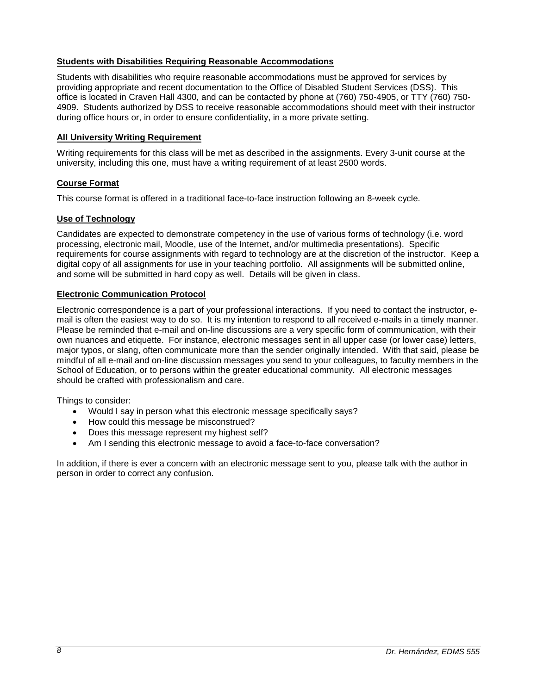### <span id="page-7-0"></span>**Students with Disabilities Requiring Reasonable Accommodations**

Students with disabilities who require reasonable accommodations must be approved for services by providing appropriate and recent documentation to the Office of Disabled Student Services (DSS). This office is located in Craven Hall 4300, and can be contacted by phone at (760) 750-4905, or TTY (760) 750- 4909. Students authorized by DSS to receive reasonable accommodations should meet with their instructor during office hours or, in order to ensure confidentiality, in a more private setting.

#### <span id="page-7-1"></span>**All University Writing Requirement**

Writing requirements for this class will be met as described in the assignments. Every 3-unit course at the university, including this one, must have a writing requirement of at least 2500 words.

### <span id="page-7-2"></span>**Course Format**

This course format is offered in a traditional face-to-face instruction following an 8-week cycle.

#### <span id="page-7-3"></span>**Use of Technology**

Candidates are expected to demonstrate competency in the use of various forms of technology (i.e. word processing, electronic mail, Moodle, use of the Internet, and/or multimedia presentations). Specific requirements for course assignments with regard to technology are at the discretion of the instructor. Keep a digital copy of all assignments for use in your teaching portfolio. All assignments will be submitted online, and some will be submitted in hard copy as well. Details will be given in class.

#### <span id="page-7-4"></span>**Electronic Communication Protocol**

Electronic correspondence is a part of your professional interactions. If you need to contact the instructor, email is often the easiest way to do so. It is my intention to respond to all received e-mails in a timely manner. Please be reminded that e-mail and on-line discussions are a very specific form of communication, with their own nuances and etiquette. For instance, electronic messages sent in all upper case (or lower case) letters, major typos, or slang, often communicate more than the sender originally intended. With that said, please be mindful of all e-mail and on-line discussion messages you send to your colleagues, to faculty members in the School of Education, or to persons within the greater educational community. All electronic messages should be crafted with professionalism and care.

Things to consider:

- Would I say in person what this electronic message specifically says?
- How could this message be misconstrued?
- Does this message represent my highest self?
- Am I sending this electronic message to avoid a face-to-face conversation?

In addition, if there is ever a concern with an electronic message sent to you, please talk with the author in person in order to correct any confusion.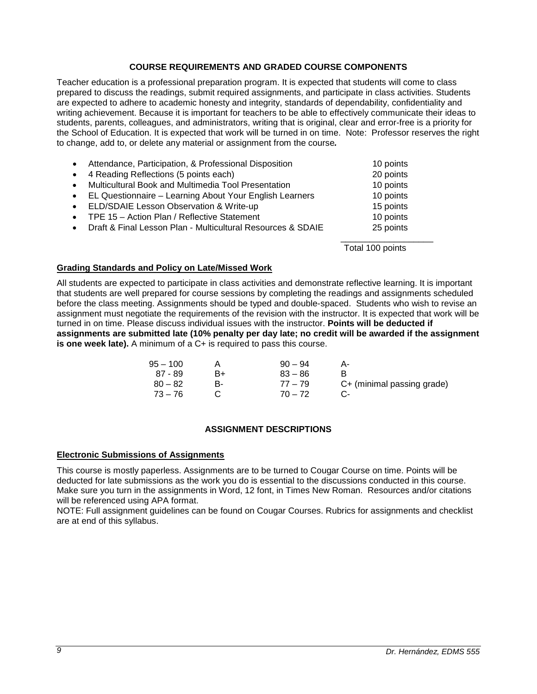### **COURSE REQUIREMENTS AND GRADED COURSE COMPONENTS**

<span id="page-8-0"></span>Teacher education is a professional preparation program. It is expected that students will come to class prepared to discuss the readings, submit required assignments, and participate in class activities. Students are expected to adhere to academic honesty and integrity, standards of dependability, confidentiality and writing achievement. Because it is important for teachers to be able to effectively communicate their ideas to students, parents, colleagues, and administrators, writing that is original, clear and error-free is a priority for the School of Education. It is expected that work will be turned in on time. Note: Professor reserves the right to change, add to, or delete any material or assignment from the course*.*

| $\bullet$ | Attendance, Participation, & Professional Disposition       | 10 points        |
|-----------|-------------------------------------------------------------|------------------|
| $\bullet$ | 4 Reading Reflections (5 points each)                       | 20 points        |
| $\bullet$ | Multicultural Book and Multimedia Tool Presentation         | 10 points        |
| $\bullet$ | EL Questionnaire - Learning About Your English Learners     | 10 points        |
| $\bullet$ | ELD/SDAIE Lesson Observation & Write-up                     | 15 points        |
| $\bullet$ | TPE 15 - Action Plan / Reflective Statement                 | 10 points        |
| $\bullet$ | Draft & Final Lesson Plan - Multicultural Resources & SDAIE | 25 points        |
|           |                                                             |                  |
|           |                                                             | Total 100 points |

#### <span id="page-8-1"></span>**Grading Standards and Policy on Late/Missed Work**

All students are expected to participate in class activities and demonstrate reflective learning. It is important that students are well prepared for course sessions by completing the readings and assignments scheduled before the class meeting. Assignments should be typed and double-spaced. Students who wish to revise an assignment must negotiate the requirements of the revision with the instructor. It is expected that work will be turned in on time. Please discuss individual issues with the instructor. **Points will be deducted if assignments are submitted late (10% penalty per day late; no credit will be awarded if the assignment is one week late).** A minimum of a C+ is required to pass this course.

| 95 – 100  |    | $90 - 94$ |                            |
|-----------|----|-----------|----------------------------|
| 87 - 89   | R+ | $83 - 86$ |                            |
| $80 - 82$ |    | $77 - 79$ | C+ (minimal passing grade) |
| - 73 – 76 |    | $70 - 72$ |                            |

### **ASSIGNMENT DESCRIPTIONS**

#### <span id="page-8-3"></span><span id="page-8-2"></span>**Electronic Submissions of Assignments**

This course is mostly paperless. Assignments are to be turned to Cougar Course on time. Points will be deducted for late submissions as the work you do is essential to the discussions conducted in this course. Make sure you turn in the assignments in Word, 12 font, in Times New Roman. Resources and/or citations will be referenced using APA format.

NOTE: Full assignment guidelines can be found on Cougar Courses. Rubrics for assignments and checklist are at end of this syllabus.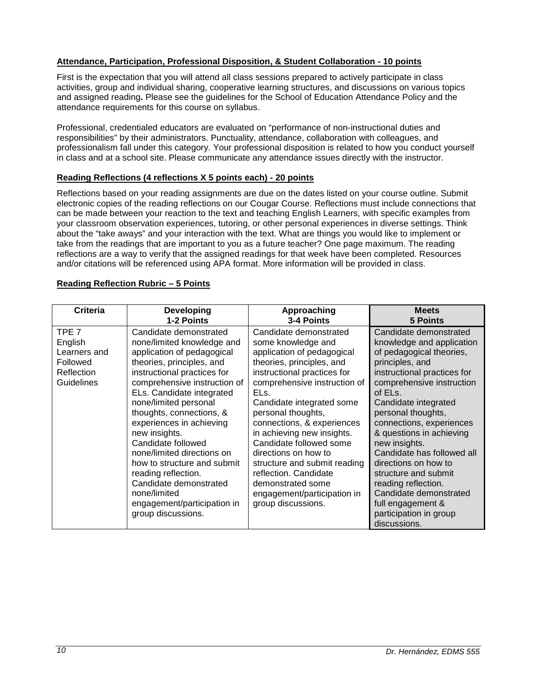## <span id="page-9-0"></span>**Attendance, Participation, Professional Disposition, & Student Collaboration - 10 points**

First is the expectation that you will attend all class sessions prepared to actively participate in class activities, group and individual sharing, cooperative learning structures, and discussions on various topics and assigned reading**.** Please see the guidelines for the School of Education Attendance Policy and the attendance requirements for this course on syllabus.

Professional, credentialed educators are evaluated on "performance of non-instructional duties and responsibilities" by their administrators. Punctuality, attendance, collaboration with colleagues, and professionalism fall under this category. Your professional disposition is related to how you conduct yourself in class and at a school site. Please communicate any attendance issues directly with the instructor.

### <span id="page-9-1"></span>**Reading Reflections (4 reflections X 5 points each) - 20 points**

Reflections based on your reading assignments are due on the dates listed on your course outline. Submit electronic copies of the reading reflections on our Cougar Course. Reflections must include connections that can be made between your reaction to the text and teaching English Learners, with specific examples from your classroom observation experiences, tutoring, or other personal experiences in diverse settings. Think about the "take aways" and your interaction with the text. What are things you would like to implement or take from the readings that are important to you as a future teacher? One page maximum. The reading reflections are a way to verify that the assigned readings for that week have been completed. Resources and/or citations will be referenced using APA format. More information will be provided in class.

### <span id="page-9-2"></span>**Reading Reflection Rubric – 5 Points**

| Criteria                                                                        | <b>Developing</b>                                                                                                                                                                                                                                                                                                                                                                                                                                                                                                      | Approaching                                                                                                                                                                                                                                                                                                                                                                                                                                                                         | <b>Meets</b>                                                                                                                                                                                                                                                                                                                                                                                                                                                                                   |
|---------------------------------------------------------------------------------|------------------------------------------------------------------------------------------------------------------------------------------------------------------------------------------------------------------------------------------------------------------------------------------------------------------------------------------------------------------------------------------------------------------------------------------------------------------------------------------------------------------------|-------------------------------------------------------------------------------------------------------------------------------------------------------------------------------------------------------------------------------------------------------------------------------------------------------------------------------------------------------------------------------------------------------------------------------------------------------------------------------------|------------------------------------------------------------------------------------------------------------------------------------------------------------------------------------------------------------------------------------------------------------------------------------------------------------------------------------------------------------------------------------------------------------------------------------------------------------------------------------------------|
|                                                                                 | 1-2 Points                                                                                                                                                                                                                                                                                                                                                                                                                                                                                                             | 3-4 Points                                                                                                                                                                                                                                                                                                                                                                                                                                                                          | <b>5 Points</b>                                                                                                                                                                                                                                                                                                                                                                                                                                                                                |
| TPE 7<br>English<br>Learners and<br>Followed<br>Reflection<br><b>Guidelines</b> | Candidate demonstrated<br>none/limited knowledge and<br>application of pedagogical<br>theories, principles, and<br>instructional practices for<br>comprehensive instruction of<br>ELs. Candidate integrated<br>none/limited personal<br>thoughts, connections, &<br>experiences in achieving<br>new insights.<br>Candidate followed<br>none/limited directions on<br>how to structure and submit<br>reading reflection.<br>Candidate demonstrated<br>none/limited<br>engagement/participation in<br>group discussions. | Candidate demonstrated<br>some knowledge and<br>application of pedagogical<br>theories, principles, and<br>instructional practices for<br>comprehensive instruction of<br>ELs.<br>Candidate integrated some<br>personal thoughts,<br>connections, & experiences<br>in achieving new insights.<br>Candidate followed some<br>directions on how to<br>structure and submit reading<br>reflection. Candidate<br>demonstrated some<br>engagement/participation in<br>group discussions. | Candidate demonstrated<br>knowledge and application<br>of pedagogical theories,<br>principles, and<br>instructional practices for<br>comprehensive instruction<br>of ELs.<br>Candidate integrated<br>personal thoughts,<br>connections, experiences<br>& questions in achieving<br>new insights.<br>Candidate has followed all<br>directions on how to<br>structure and submit<br>reading reflection.<br>Candidate demonstrated<br>full engagement &<br>participation in group<br>discussions. |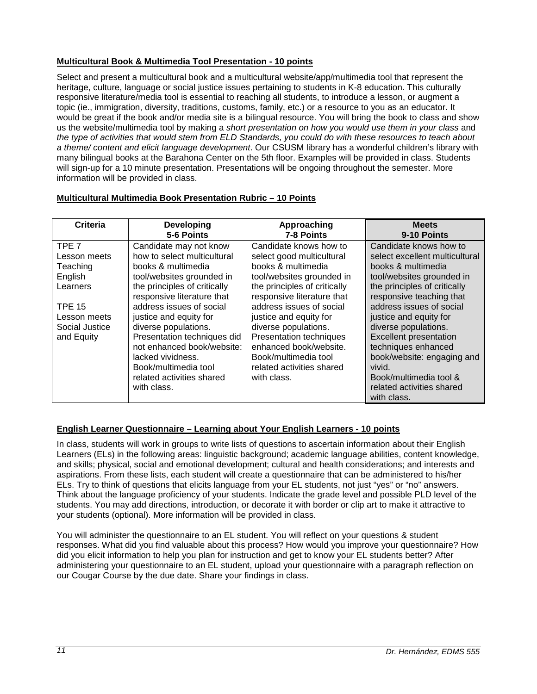## <span id="page-10-0"></span>**Multicultural Book & Multimedia Tool Presentation - 10 points**

Select and present a multicultural book and a multicultural website/app/multimedia tool that represent the heritage, culture, language or social justice issues pertaining to students in K-8 education. This culturally responsive literature/media tool is essential to reaching all students, to introduce a lesson, or augment a topic (ie., immigration, diversity, traditions, customs, family, etc.) or a resource to you as an educator. It would be great if the book and/or media site is a bilingual resource. You will bring the book to class and show us the website/multimedia tool by making a *short presentation on how you would use them in your class* and *the type of activities that would stem from ELD Standards, you could do with these resources to teach about a theme/ content and elicit language development*. Our CSUSM library has a wonderful children's library with many bilingual books at the Barahona Center on the 5th floor. Examples will be provided in class. Students will sign-up for a 10 minute presentation. Presentations will be ongoing throughout the semester. More information will be provided in class.

| Criteria         | <b>Developing</b>            | Approaching                    | <b>Meets</b>                   |
|------------------|------------------------------|--------------------------------|--------------------------------|
|                  | 5-6 Points                   | 7-8 Points                     | 9-10 Points                    |
| TPE <sub>7</sub> | Candidate may not know       | Candidate knows how to         | Candidate knows how to         |
| Lesson meets     | how to select multicultural  | select good multicultural      | select excellent multicultural |
| Teaching         | books & multimedia           | books & multimedia             | books & multimedia             |
| English          | tool/websites grounded in    | tool/websites grounded in      | tool/websites grounded in      |
| Learners         | the principles of critically | the principles of critically   | the principles of critically   |
|                  | responsive literature that   | responsive literature that     | responsive teaching that       |
| <b>TPE 15</b>    | address issues of social     | address issues of social       | address issues of social       |
| Lesson meets     | justice and equity for       | justice and equity for         | justice and equity for         |
| Social Justice   | diverse populations.         | diverse populations.           | diverse populations.           |
| and Equity       | Presentation techniques did  | <b>Presentation techniques</b> | <b>Excellent presentation</b>  |
|                  | not enhanced book/website:   | enhanced book/website.         | techniques enhanced            |
|                  | lacked vividness.            | Book/multimedia tool           | book/website: engaging and     |
|                  | Book/multimedia tool         | related activities shared      | vivid.                         |
|                  | related activities shared    | with class.                    | Book/multimedia tool &         |
|                  | with class.                  |                                | related activities shared      |
|                  |                              |                                | with class.                    |

### <span id="page-10-1"></span>**Multicultural Multimedia Book Presentation Rubric – 10 Points**

## <span id="page-10-2"></span>**English Learner Questionnaire – Learning about Your English Learners - 10 points**

In class, students will work in groups to write lists of questions to ascertain information about their English Learners (ELs) in the following areas: linguistic background; academic language abilities, content knowledge, and skills; physical, social and emotional development; cultural and health considerations; and interests and aspirations. From these lists, each student will create a questionnaire that can be administered to his/her ELs. Try to think of questions that elicits language from your EL students, not just "yes" or "no" answers. Think about the language proficiency of your students. Indicate the grade level and possible PLD level of the students. You may add directions, introduction, or decorate it with border or clip art to make it attractive to your students (optional). More information will be provided in class.

You will administer the questionnaire to an EL student. You will reflect on your questions & student responses. What did you find valuable about this process? How would you improve your questionnaire? How did you elicit information to help you plan for instruction and get to know your EL students better? After administering your questionnaire to an EL student, upload your questionnaire with a paragraph reflection on our Cougar Course by the due date. Share your findings in class.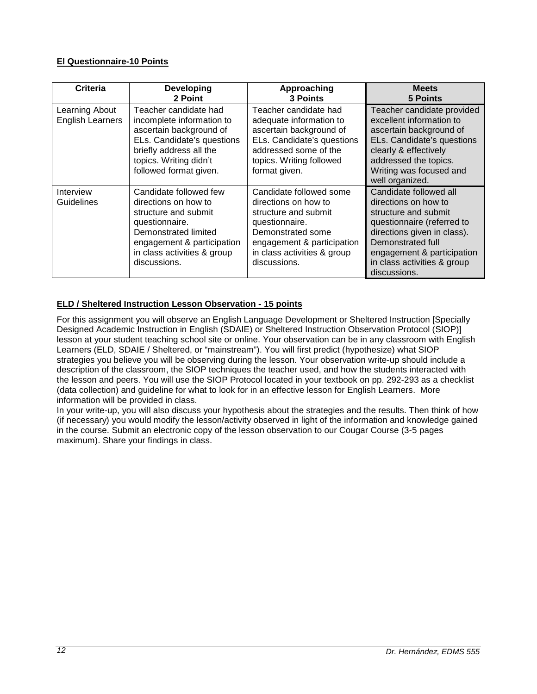## <span id="page-11-0"></span>**El Questionnaire-10 Points**

| Criteria                                  | <b>Developing</b><br>2 Point                                                                                                                                                                  | Approaching<br>3 Points                                                                                                                                                                     | <b>Meets</b><br>5 Points                                                                                                                                                                                                              |
|-------------------------------------------|-----------------------------------------------------------------------------------------------------------------------------------------------------------------------------------------------|---------------------------------------------------------------------------------------------------------------------------------------------------------------------------------------------|---------------------------------------------------------------------------------------------------------------------------------------------------------------------------------------------------------------------------------------|
| Learning About<br><b>English Learners</b> | Teacher candidate had<br>incomplete information to<br>ascertain background of<br>ELs. Candidate's questions<br>briefly address all the<br>topics. Writing didn't<br>followed format given.    | Teacher candidate had<br>adequate information to<br>ascertain background of<br>ELs. Candidate's questions<br>addressed some of the<br>topics. Writing followed<br>format given.             | Teacher candidate provided<br>excellent information to<br>ascertain background of<br>ELs. Candidate's questions<br>clearly & effectively<br>addressed the topics.<br>Writing was focused and<br>well organized.                       |
| Interview<br>Guidelines                   | Candidate followed few<br>directions on how to<br>structure and submit<br>questionnaire.<br>Demonstrated limited<br>engagement & participation<br>in class activities & group<br>discussions. | Candidate followed some<br>directions on how to<br>structure and submit<br>questionnaire.<br>Demonstrated some<br>engagement & participation<br>in class activities & group<br>discussions. | Candidate followed all<br>directions on how to<br>structure and submit<br>questionnaire (referred to<br>directions given in class).<br>Demonstrated full<br>engagement & participation<br>in class activities & group<br>discussions. |

## <span id="page-11-1"></span>**ELD / Sheltered Instruction Lesson Observation - 15 points**

For this assignment you will observe an English Language Development or Sheltered Instruction [Specially Designed Academic Instruction in English (SDAIE) or Sheltered Instruction Observation Protocol (SIOP)] lesson at your student teaching school site or online. Your observation can be in any classroom with English Learners (ELD, SDAIE / Sheltered, or "mainstream"). You will first predict (hypothesize) what SIOP strategies you believe you will be observing during the lesson. Your observation write-up should include a description of the classroom, the SIOP techniques the teacher used, and how the students interacted with the lesson and peers. You will use the SIOP Protocol located in your textbook on pp. 292-293 as a checklist (data collection) and guideline for what to look for in an effective lesson for English Learners. More information will be provided in class.

In your write-up, you will also discuss your hypothesis about the strategies and the results. Then think of how (if necessary) you would modify the lesson/activity observed in light of the information and knowledge gained in the course. Submit an electronic copy of the lesson observation to our Cougar Course (3-5 pages maximum). Share your findings in class.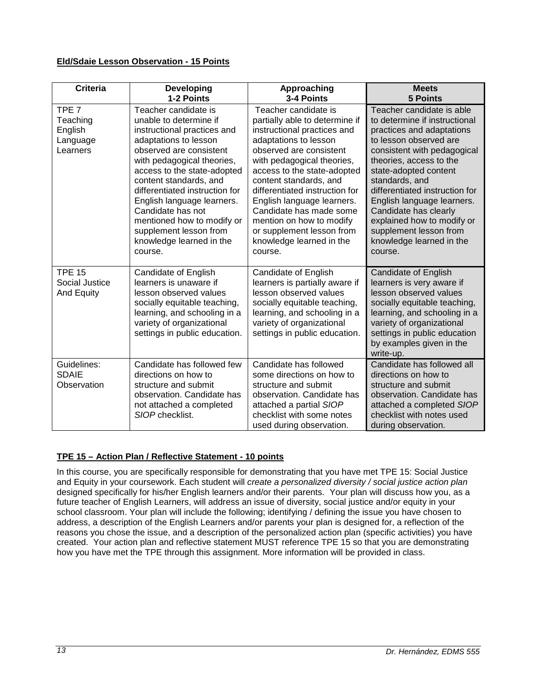## <span id="page-12-0"></span>**Eld/Sdaie Lesson Observation - 15 Points**

| <b>Criteria</b>                                                 | <b>Developing</b><br>1-2 Points                                                                                                                                                                                                                                                                                                                                                                              | Approaching<br>3-4 Points                                                                                                                                                                                                                                                                                                                                                                                                   | <b>Meets</b><br><b>5 Points</b>                                                                                                                                                                                                                                                                                                                                                                                |
|-----------------------------------------------------------------|--------------------------------------------------------------------------------------------------------------------------------------------------------------------------------------------------------------------------------------------------------------------------------------------------------------------------------------------------------------------------------------------------------------|-----------------------------------------------------------------------------------------------------------------------------------------------------------------------------------------------------------------------------------------------------------------------------------------------------------------------------------------------------------------------------------------------------------------------------|----------------------------------------------------------------------------------------------------------------------------------------------------------------------------------------------------------------------------------------------------------------------------------------------------------------------------------------------------------------------------------------------------------------|
| TPE <sub>7</sub><br>Teaching<br>English<br>Language<br>Learners | Teacher candidate is<br>unable to determine if<br>instructional practices and<br>adaptations to lesson<br>observed are consistent<br>with pedagogical theories,<br>access to the state-adopted<br>content standards, and<br>differentiated instruction for<br>English language learners.<br>Candidate has not<br>mentioned how to modify or<br>supplement lesson from<br>knowledge learned in the<br>course. | Teacher candidate is<br>partially able to determine if<br>instructional practices and<br>adaptations to lesson<br>observed are consistent<br>with pedagogical theories,<br>access to the state-adopted<br>content standards, and<br>differentiated instruction for<br>English language learners.<br>Candidate has made some<br>mention on how to modify<br>or supplement lesson from<br>knowledge learned in the<br>course. | Teacher candidate is able<br>to determine if instructional<br>practices and adaptations<br>to lesson observed are<br>consistent with pedagogical<br>theories, access to the<br>state-adopted content<br>standards, and<br>differentiated instruction for<br>English language learners.<br>Candidate has clearly<br>explained how to modify or<br>supplement lesson from<br>knowledge learned in the<br>course. |
| <b>TPE 15</b><br>Social Justice<br>And Equity                   | Candidate of English<br>learners is unaware if<br>lesson observed values<br>socially equitable teaching,<br>learning, and schooling in a<br>variety of organizational<br>settings in public education.                                                                                                                                                                                                       | Candidate of English<br>learners is partially aware if<br>lesson observed values<br>socially equitable teaching,<br>learning, and schooling in a<br>variety of organizational<br>settings in public education.                                                                                                                                                                                                              | <b>Candidate of English</b><br>learners is very aware if<br>lesson observed values<br>socially equitable teaching,<br>learning, and schooling in a<br>variety of organizational<br>settings in public education<br>by examples given in the<br>write-up.                                                                                                                                                       |
| Guidelines:<br><b>SDAIE</b><br>Observation                      | Candidate has followed few<br>directions on how to<br>structure and submit<br>observation. Candidate has<br>not attached a completed<br>SIOP checklist.                                                                                                                                                                                                                                                      | Candidate has followed<br>some directions on how to<br>structure and submit<br>observation. Candidate has<br>attached a partial SIOP<br>checklist with some notes<br>used during observation.                                                                                                                                                                                                                               | Candidate has followed all<br>directions on how to<br>structure and submit<br>observation. Candidate has<br>attached a completed SIOP<br>checklist with notes used<br>during observation.                                                                                                                                                                                                                      |

### <span id="page-12-1"></span>**TPE 15 – Action Plan / Reflective Statement - 10 points**

In this course, you are specifically responsible for demonstrating that you have met TPE 15: Social Justice and Equity in your coursework. Each student will *create a personalized diversity / social justice action plan*  designed specifically for his/her English learners and/or their parents. Your plan will discuss how you, as a future teacher of English Learners, will address an issue of diversity, social justice and/or equity in your school classroom. Your plan will include the following; identifying / defining the issue you have chosen to address, a description of the English Learners and/or parents your plan is designed for, a reflection of the reasons you chose the issue, and a description of the personalized action plan (specific activities) you have created. Your action plan and reflective statement MUST reference TPE 15 so that you are demonstrating how you have met the TPE through this assignment. More information will be provided in class.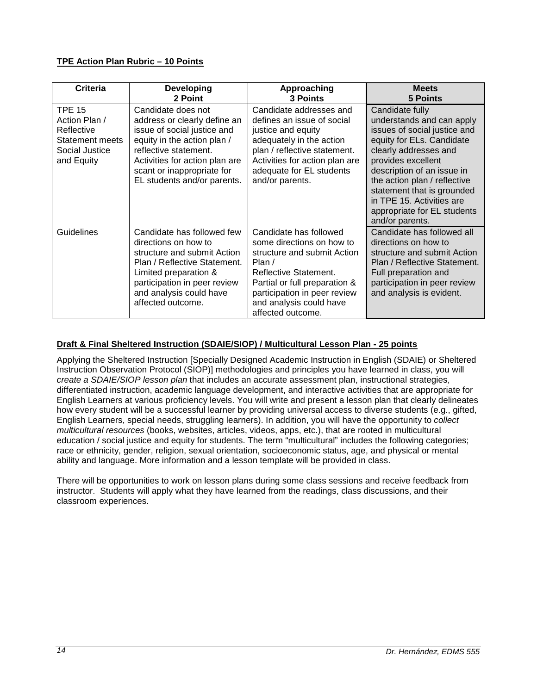## <span id="page-13-0"></span>**TPE Action Plan Rubric – 10 Points**

| Criteria                                                                                        | <b>Developing</b><br>2 Point                                                                                                                                                                                                             | Approaching<br><b>3 Points</b>                                                                                                                                                                                                           | <b>Meets</b><br><b>5 Points</b>                                                                                                                                                                                                                                                                                                     |
|-------------------------------------------------------------------------------------------------|------------------------------------------------------------------------------------------------------------------------------------------------------------------------------------------------------------------------------------------|------------------------------------------------------------------------------------------------------------------------------------------------------------------------------------------------------------------------------------------|-------------------------------------------------------------------------------------------------------------------------------------------------------------------------------------------------------------------------------------------------------------------------------------------------------------------------------------|
| <b>TPE 15</b><br>Action Plan /<br>Reflective<br>Statement meets<br>Social Justice<br>and Equity | Candidate does not<br>address or clearly define an<br>issue of social justice and<br>equity in the action plan /<br>reflective statement.<br>Activities for action plan are<br>scant or inappropriate for<br>EL students and/or parents. | Candidate addresses and<br>defines an issue of social<br>justice and equity<br>adequately in the action<br>plan / reflective statement.<br>Activities for action plan are<br>adequate for EL students<br>and/or parents.                 | Candidate fully<br>understands and can apply<br>issues of social justice and<br>equity for ELs. Candidate<br>clearly addresses and<br>provides excellent<br>description of an issue in<br>the action plan / reflective<br>statement that is grounded<br>in TPE 15. Activities are<br>appropriate for EL students<br>and/or parents. |
| Guidelines                                                                                      | Candidate has followed few<br>directions on how to<br>structure and submit Action<br>Plan / Reflective Statement.<br>Limited preparation &<br>participation in peer review<br>and analysis could have<br>affected outcome.               | Candidate has followed<br>some directions on how to<br>structure and submit Action<br>Plan $/$<br>Reflective Statement.<br>Partial or full preparation &<br>participation in peer review<br>and analysis could have<br>affected outcome. | Candidate has followed all<br>directions on how to<br>structure and submit Action<br>Plan / Reflective Statement.<br>Full preparation and<br>participation in peer review<br>and analysis is evident.                                                                                                                               |

## <span id="page-13-1"></span>**Draft & Final Sheltered Instruction (SDAIE/SIOP) / Multicultural Lesson Plan - 25 points**

Applying the Sheltered Instruction [Specially Designed Academic Instruction in English (SDAIE) or Sheltered Instruction Observation Protocol (SIOP)] methodologies and principles you have learned in class, you will *create a SDAIE/SIOP lesson plan* that includes an accurate assessment plan, instructional strategies, differentiated instruction, academic language development, and interactive activities that are appropriate for English Learners at various proficiency levels. You will write and present a lesson plan that clearly delineates how every student will be a successful learner by providing universal access to diverse students (e.g., gifted, English Learners, special needs, struggling learners). In addition, you will have the opportunity to *collect multicultural resources* (books, websites, articles, videos, apps, etc.), that are rooted in multicultural education / social justice and equity for students. The term "multicultural" includes the following categories; race or ethnicity, gender, religion, sexual orientation, socioeconomic status, age, and physical or mental ability and language. More information and a lesson template will be provided in class.

There will be opportunities to work on lesson plans during some class sessions and receive feedback from instructor. Students will apply what they have learned from the readings, class discussions, and their classroom experiences.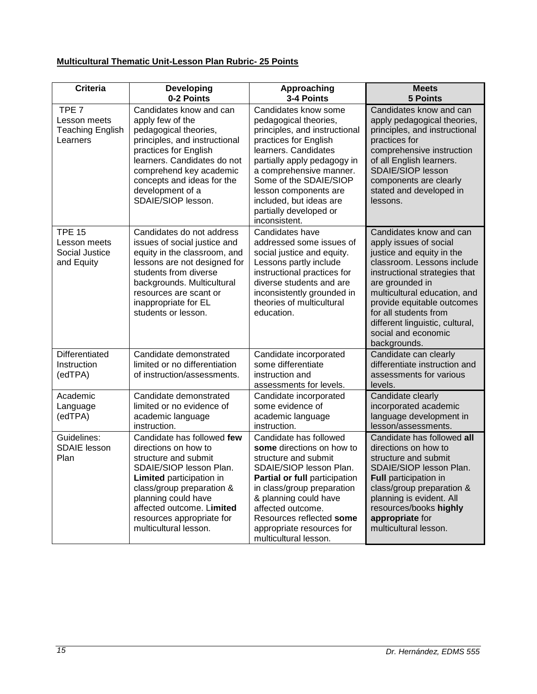# <span id="page-14-0"></span>**Multicultural Thematic Unit-Lesson Plan Rubric- 25 Points**

| <b>Criteria</b>                                                         | <b>Developing</b><br>0-2 Points                                                                                                                                                                                                                                          | Approaching<br>3-4 Points                                                                                                                                                                                                                                                                                          | <b>Meets</b><br><b>5 Points</b>                                                                                                                                                                                                                                                                                                   |
|-------------------------------------------------------------------------|--------------------------------------------------------------------------------------------------------------------------------------------------------------------------------------------------------------------------------------------------------------------------|--------------------------------------------------------------------------------------------------------------------------------------------------------------------------------------------------------------------------------------------------------------------------------------------------------------------|-----------------------------------------------------------------------------------------------------------------------------------------------------------------------------------------------------------------------------------------------------------------------------------------------------------------------------------|
| TPE <sub>7</sub><br>Lesson meets<br><b>Teaching English</b><br>Learners | Candidates know and can<br>apply few of the<br>pedagogical theories,<br>principles, and instructional<br>practices for English<br>learners. Candidates do not<br>comprehend key academic<br>concepts and ideas for the<br>development of a<br>SDAIE/SIOP lesson.         | Candidates know some<br>pedagogical theories,<br>principles, and instructional<br>practices for English<br>learners. Candidates<br>partially apply pedagogy in<br>a comprehensive manner.<br>Some of the SDAIE/SIOP<br>lesson components are<br>included, but ideas are<br>partially developed or<br>inconsistent. | Candidates know and can<br>apply pedagogical theories,<br>principles, and instructional<br>practices for<br>comprehensive instruction<br>of all English learners.<br><b>SDAIE/SIOP lesson</b><br>components are clearly<br>stated and developed in<br>lessons.                                                                    |
| <b>TPE 15</b><br>Lesson meets<br>Social Justice<br>and Equity           | Candidates do not address<br>issues of social justice and<br>equity in the classroom, and<br>lessons are not designed for<br>students from diverse<br>backgrounds. Multicultural<br>resources are scant or<br>inappropriate for EL<br>students or lesson.                | Candidates have<br>addressed some issues of<br>social justice and equity.<br>Lessons partly include<br>instructional practices for<br>diverse students and are<br>inconsistently grounded in<br>theories of multicultural<br>education.                                                                            | Candidates know and can<br>apply issues of social<br>justice and equity in the<br>classroom. Lessons include<br>instructional strategies that<br>are grounded in<br>multicultural education, and<br>provide equitable outcomes<br>for all students from<br>different linguistic, cultural,<br>social and economic<br>backgrounds. |
| Differentiated<br>Instruction<br>(edTPA)                                | Candidate demonstrated<br>limited or no differentiation<br>of instruction/assessments.                                                                                                                                                                                   | Candidate incorporated<br>some differentiate<br>instruction and<br>assessments for levels.                                                                                                                                                                                                                         | Candidate can clearly<br>differentiate instruction and<br>assessments for various<br>levels.                                                                                                                                                                                                                                      |
| Academic<br>Language<br>(edTPA)                                         | Candidate demonstrated<br>limited or no evidence of<br>academic language<br>instruction.                                                                                                                                                                                 | Candidate incorporated<br>some evidence of<br>academic language<br>instruction.                                                                                                                                                                                                                                    | Candidate clearly<br>incorporated academic<br>language development in<br>lesson/assessments.                                                                                                                                                                                                                                      |
| Guidelines:<br><b>SDAIE</b> lesson<br>Plan                              | Candidate has followed few<br>directions on how to<br>structure and submit<br>SDAIE/SIOP lesson Plan.<br>Limited participation in<br>class/group preparation &<br>planning could have<br>affected outcome. Limited<br>resources appropriate for<br>multicultural lesson. | Candidate has followed<br>some directions on how to<br>structure and submit<br>SDAIE/SIOP lesson Plan.<br>Partial or full participation<br>in class/group preparation<br>& planning could have<br>affected outcome.<br>Resources reflected some<br>appropriate resources for<br>multicultural lesson.              | Candidate has followed all<br>directions on how to<br>structure and submit<br>SDAIE/SIOP lesson Plan.<br>Full participation in<br>class/group preparation &<br>planning is evident. All<br>resources/books highly<br>appropriate for<br>multicultural lesson.                                                                     |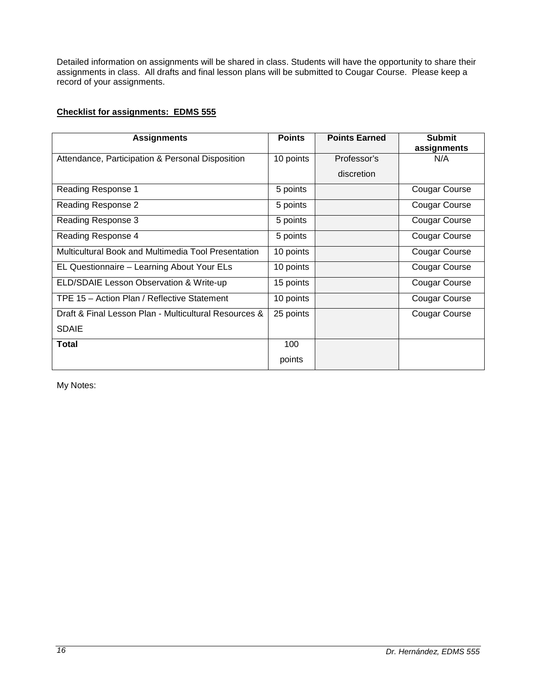Detailed information on assignments will be shared in class. Students will have the opportunity to share their assignments in class. All drafts and final lesson plans will be submitted to Cougar Course. Please keep a record of your assignments.

### <span id="page-15-0"></span>**Checklist for assignments: EDMS 555**

| <b>Assignments</b>                                    | <b>Points</b> | <b>Points Earned</b> | <b>Submit</b><br>assignments |
|-------------------------------------------------------|---------------|----------------------|------------------------------|
| Attendance, Participation & Personal Disposition      | 10 points     | Professor's          | N/A                          |
|                                                       |               | discretion           |                              |
| Reading Response 1                                    | 5 points      |                      | Cougar Course                |
| Reading Response 2                                    | 5 points      |                      | Cougar Course                |
| Reading Response 3                                    | 5 points      |                      | Cougar Course                |
| Reading Response 4                                    | 5 points      |                      | Cougar Course                |
| Multicultural Book and Multimedia Tool Presentation   | 10 points     |                      | Cougar Course                |
| EL Questionnaire - Learning About Your ELs            | 10 points     |                      | Cougar Course                |
| ELD/SDAIE Lesson Observation & Write-up               | 15 points     |                      | Cougar Course                |
| TPE 15 - Action Plan / Reflective Statement           | 10 points     |                      | <b>Cougar Course</b>         |
| Draft & Final Lesson Plan - Multicultural Resources & | 25 points     |                      | Cougar Course                |
| <b>SDAIE</b>                                          |               |                      |                              |
| Total                                                 | 100           |                      |                              |
|                                                       | points        |                      |                              |

My Notes: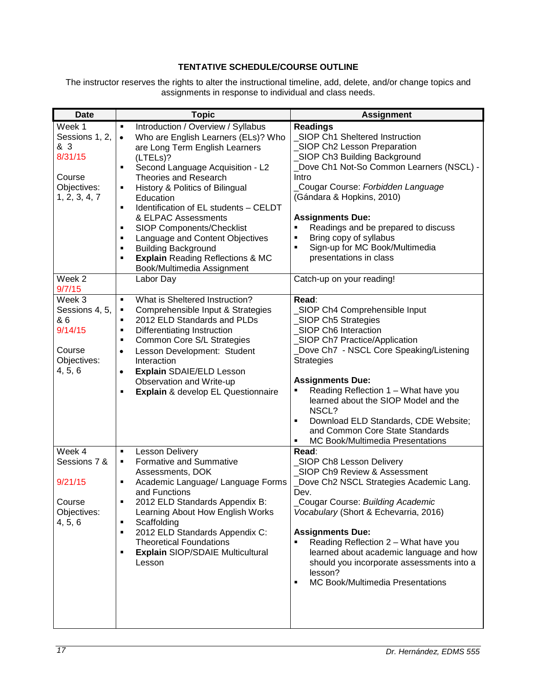## **TENTATIVE SCHEDULE/COURSE OUTLINE**

<span id="page-16-0"></span>The instructor reserves the rights to alter the instructional timeline, add, delete, and/or change topics and assignments in response to individual and class needs.

| <b>Date</b>       | <b>Topic</b>                                                                                | <b>Assignment</b>                                                          |  |
|-------------------|---------------------------------------------------------------------------------------------|----------------------------------------------------------------------------|--|
| Week 1            | Introduction / Overview / Syllabus<br>$\blacksquare$                                        | <b>Readings</b>                                                            |  |
| Sessions 1, 2,    | Who are English Learners (ELs)? Who<br>$\bullet$                                            | SIOP Ch1 Sheltered Instruction                                             |  |
| & 3               | are Long Term English Learners                                                              | _SIOP Ch2 Lesson Preparation                                               |  |
| 8/31/15           | (LTELs)?                                                                                    | SIOP Ch3 Building Background                                               |  |
|                   | Second Language Acquisition - L2<br>$\blacksquare$                                          | Dove Ch1 Not-So Common Learners (NSCL) -                                   |  |
| Course            | Theories and Research                                                                       | Intro                                                                      |  |
| Objectives:       | History & Politics of Bilingual<br>٠                                                        | Cougar Course: Forbidden Language                                          |  |
| 1, 2, 3, 4, 7     | Education                                                                                   | (Gándara & Hopkins, 2010)                                                  |  |
|                   | Identification of EL students - CELDT<br>$\blacksquare$                                     |                                                                            |  |
|                   | & ELPAC Assessments                                                                         | <b>Assignments Due:</b>                                                    |  |
|                   | SIOP Components/Checklist<br>$\blacksquare$                                                 | Readings and be prepared to discuss<br>٠                                   |  |
|                   | Language and Content Objectives<br>$\blacksquare$<br>$\blacksquare$                         | Bring copy of syllabus<br>Sign-up for MC Book/Multimedia<br>$\blacksquare$ |  |
|                   | <b>Building Background</b><br><b>Explain Reading Reflections &amp; MC</b><br>$\blacksquare$ | presentations in class                                                     |  |
|                   | Book/Multimedia Assignment                                                                  |                                                                            |  |
| Week <sub>2</sub> | Labor Day                                                                                   | Catch-up on your reading!                                                  |  |
| 9/7/15            |                                                                                             |                                                                            |  |
| Week 3            | What is Sheltered Instruction?<br>$\blacksquare$                                            | Read:                                                                      |  |
| Sessions 4, 5,    | Comprehensible Input & Strategies<br>٠                                                      | SIOP Ch4 Comprehensible Input                                              |  |
| & 6               | 2012 ELD Standards and PLDs<br>$\blacksquare$                                               | _SIOP Ch5 Strategies                                                       |  |
| 9/14/15           | Differentiating Instruction<br>$\blacksquare$                                               | _SIOP Ch6 Interaction                                                      |  |
|                   | Common Core S/L Strategies<br>$\blacksquare$                                                | _SIOP Ch7 Practice/Application                                             |  |
| Course            | Lesson Development: Student<br>$\bullet$                                                    | Dove Ch7 - NSCL Core Speaking/Listening                                    |  |
| Objectives:       | Interaction                                                                                 | <b>Strategies</b>                                                          |  |
| 4, 5, 6           | Explain SDAIE/ELD Lesson<br>$\bullet$                                                       |                                                                            |  |
|                   | Observation and Write-up                                                                    | <b>Assignments Due:</b>                                                    |  |
|                   | <b>Explain &amp; develop EL Questionnaire</b><br>٠                                          | Reading Reflection 1 - What have you                                       |  |
|                   |                                                                                             | learned about the SIOP Model and the                                       |  |
|                   |                                                                                             | NSCL?<br>$\blacksquare$                                                    |  |
|                   |                                                                                             | Download ELD Standards, CDE Website;<br>and Common Core State Standards    |  |
|                   |                                                                                             | MC Book/Multimedia Presentations<br>٠                                      |  |
| Week 4            | <b>Lesson Delivery</b><br>$\blacksquare$                                                    | Read:                                                                      |  |
| Sessions 7 &      | Formative and Summative<br>٠                                                                | _SIOP Ch8 Lesson Delivery                                                  |  |
|                   | Assessments, DOK                                                                            | SIOP Ch9 Review & Assessment                                               |  |
| 9/21/15           | Academic Language/ Language Forms<br>$\blacksquare$                                         | Dove Ch2 NSCL Strategies Academic Lang.                                    |  |
|                   | and Functions                                                                               | Dev.                                                                       |  |
| Course            | 2012 ELD Standards Appendix B:                                                              | Cougar Course: Building Academic                                           |  |
| Objectives:       | Learning About How English Works                                                            | Vocabulary (Short & Echevarria, 2016)                                      |  |
| 4, 5, 6           | Scaffolding<br>Ξ                                                                            |                                                                            |  |
|                   | 2012 ELD Standards Appendix C:<br>$\blacksquare$                                            | <b>Assignments Due:</b>                                                    |  |
|                   | <b>Theoretical Foundations</b>                                                              | Reading Reflection 2 - What have you<br>٠                                  |  |
|                   | <b>Explain SIOP/SDAIE Multicultural</b><br>٠                                                | learned about academic language and how                                    |  |
|                   | Lesson                                                                                      | should you incorporate assessments into a                                  |  |
|                   |                                                                                             | lesson?                                                                    |  |
|                   |                                                                                             | MC Book/Multimedia Presentations<br>$\blacksquare$                         |  |
|                   |                                                                                             |                                                                            |  |
|                   |                                                                                             |                                                                            |  |
|                   |                                                                                             |                                                                            |  |